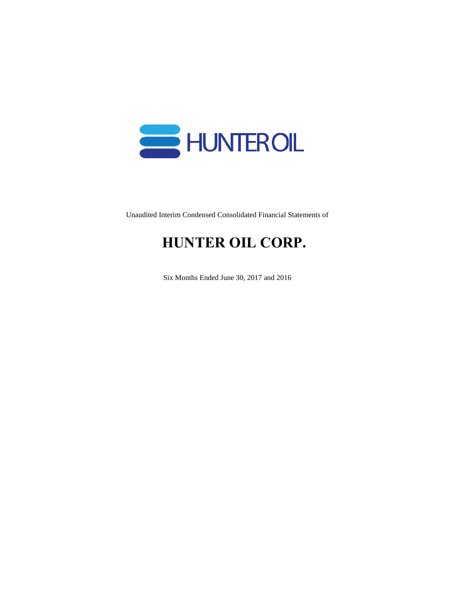

Unaudited Interim Condensed Consolidated Financial Statements of

# **HUNTER OIL CORP.**

Six Months Ended June 30, 2017 and 2016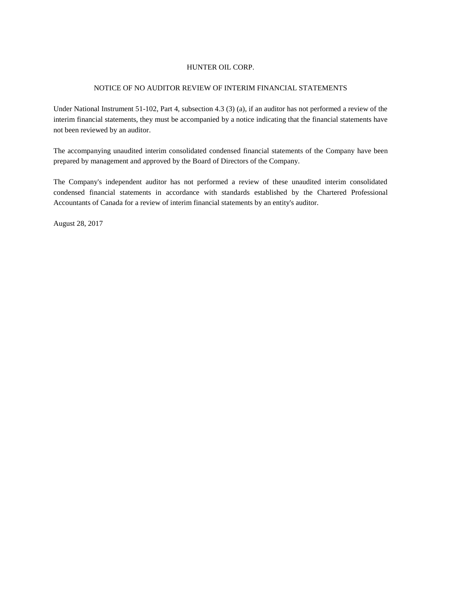#### NOTICE OF NO AUDITOR REVIEW OF INTERIM FINANCIAL STATEMENTS

Under National Instrument 51-102, Part 4, subsection 4.3 (3) (a), if an auditor has not performed a review of the interim financial statements, they must be accompanied by a notice indicating that the financial statements have not been reviewed by an auditor.

The accompanying unaudited interim consolidated condensed financial statements of the Company have been prepared by management and approved by the Board of Directors of the Company.

The Company's independent auditor has not performed a review of these unaudited interim consolidated condensed financial statements in accordance with standards established by the Chartered Professional Accountants of Canada for a review of interim financial statements by an entity's auditor.

August 28, 2017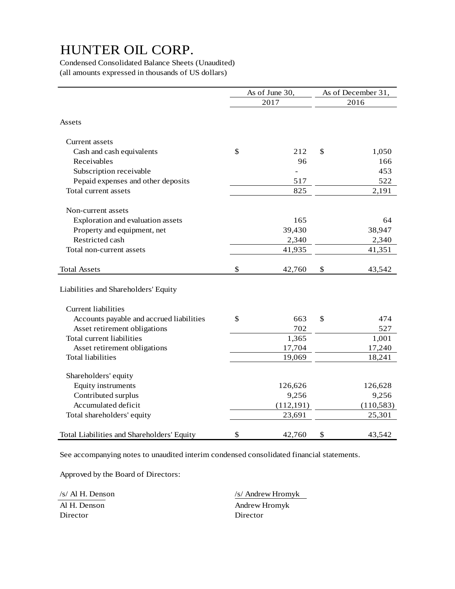Condensed Consolidated Balance Sheets (Unaudited) (all amounts expressed in thousands of US dollars)

|                                            | As of June 30, | As of December 31, |
|--------------------------------------------|----------------|--------------------|
|                                            | 2017           | 2016               |
| Assets                                     |                |                    |
| Current assets                             |                |                    |
| Cash and cash equivalents                  | \$<br>212      | \$<br>1,050        |
| Receivables                                | 96             | 166                |
| Subscription receivable                    |                | 453                |
| Pepaid expenses and other deposits         | 517            | 522                |
| Total current assets                       | 825            | 2,191              |
| Non-current assets                         |                |                    |
| Exploration and evaluation assets          | 165            | 64                 |
| Property and equipment, net                | 39,430         | 38,947             |
| Restricted cash                            | 2,340          | 2,340              |
| Total non-current assets                   | 41,935         | 41,351             |
| <b>Total Assets</b>                        | \$<br>42,760   | \$<br>43,542       |
| Liabilities and Shareholders' Equity       |                |                    |
| <b>Current liabilities</b>                 |                |                    |
| Accounts payable and accrued liabilities   | \$<br>663      | \$<br>474          |
| Asset retirement obligations               | 702            | 527                |
| Total current liabilities                  | 1,365          | 1,001              |
| Asset retirement obligations               | 17,704         | 17,240             |
| Total liabilities                          | 19,069         | 18,241             |
| Shareholders' equity                       |                |                    |
| Equity instruments                         | 126,626        | 126,628            |
| Contributed surplus                        | 9,256          | 9,256              |
| Accumulated deficit                        | (112, 191)     | (110, 583)         |
| Total shareholders' equity                 | 23,691         | 25,301             |
| Total Liabilities and Shareholders' Equity | \$<br>42,760   | \$<br>43,542       |

See accompanying notes to unaudited interim condensed consolidated financial statements.

Approved by the Board of Directors:

Director Director

/s/ Al H. Denson /s/ Andrew Hromyk Al H. Denson Andrew Hromyk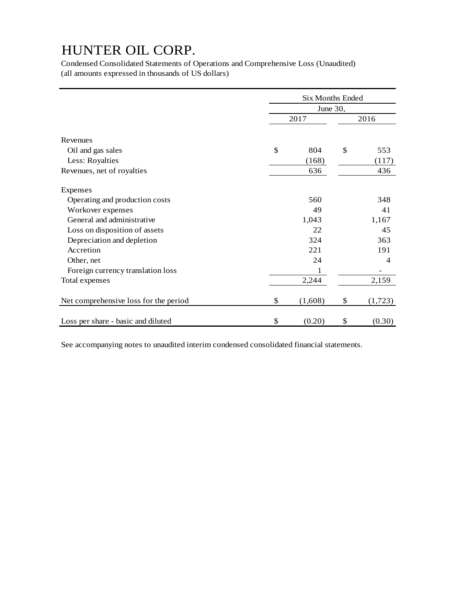Condensed Consolidated Statements of Operations and Comprehensive Loss (Unaudited) (all amounts expressed in thousands of US dollars)

|                                       | <b>Six Months Ended</b> |                  |    |                |  |  |
|---------------------------------------|-------------------------|------------------|----|----------------|--|--|
|                                       |                         |                  |    |                |  |  |
|                                       |                         | June 30,<br>2017 |    |                |  |  |
| Revenues                              |                         |                  |    |                |  |  |
| Oil and gas sales                     | \$                      | 804              | \$ | 553            |  |  |
| Less: Royalties                       |                         | (168)            |    | (117)          |  |  |
| Revenues, net of royalties            |                         | 636              |    | 436            |  |  |
| Expenses                              |                         |                  |    |                |  |  |
| Operating and production costs        |                         | 560              |    | 348            |  |  |
| Workover expenses                     |                         | 49               |    | 41             |  |  |
| General and administrative            |                         | 1,043            |    | 1,167          |  |  |
| Loss on disposition of assets         |                         | 22               |    | 45             |  |  |
| Depreciation and depletion            |                         | 324              |    | 363            |  |  |
| Accretion                             |                         | 221              |    | 191            |  |  |
| Other, net                            |                         | 24               |    | $\overline{4}$ |  |  |
| Foreign currency translation loss     |                         |                  |    |                |  |  |
| Total expenses                        |                         | 2,244            |    | 2,159          |  |  |
| Net comprehensive loss for the period | \$                      | (1,608)          | \$ | (1, 723)       |  |  |
| Loss per share - basic and diluted    | \$                      | (0.20)           | \$ | (0.30)         |  |  |

See accompanying notes to unaudited interim condensed consolidated financial statements.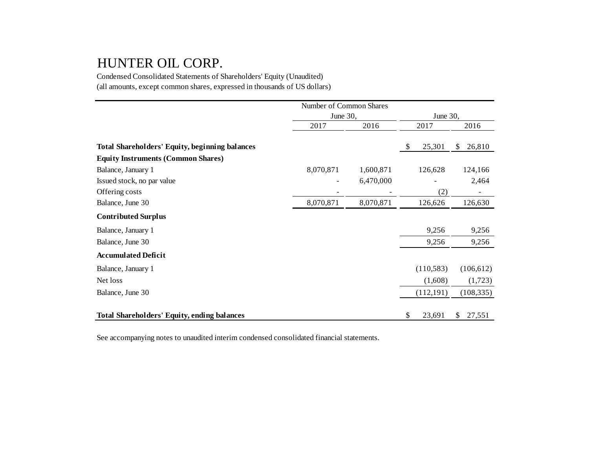Condensed Consolidated Statements of Shareholders' Equity (Unaudited) (all amounts, except common shares, expressed in thousands of US dollars)

|                                                       | Number of Common Shares |           |                           |            |              |
|-------------------------------------------------------|-------------------------|-----------|---------------------------|------------|--------------|
|                                                       | June 30,                |           |                           | June 30,   |              |
|                                                       | 2017                    | 2016      |                           | 2017       | 2016         |
| <b>Total Shareholders' Equity, beginning balances</b> |                         |           | $\boldsymbol{\mathsf{S}}$ | 25,301     | \$<br>26,810 |
| <b>Equity Instruments (Common Shares)</b>             |                         |           |                           |            |              |
| Balance, January 1                                    | 8,070,871               | 1,600,871 |                           | 126,628    | 124,166      |
| Issued stock, no par value                            |                         | 6,470,000 |                           |            | 2,464        |
| Offering costs                                        |                         |           |                           | (2)        |              |
| Balance, June 30                                      | 8,070,871               | 8,070,871 |                           | 126,626    | 126,630      |
| <b>Contributed Surplus</b>                            |                         |           |                           |            |              |
| Balance, January 1                                    |                         |           |                           | 9,256      | 9,256        |
| Balance, June 30                                      |                         |           |                           | 9,256      | 9,256        |
| <b>Accumulated Deficit</b>                            |                         |           |                           |            |              |
| Balance, January 1                                    |                         |           |                           | (110, 583) | (106, 612)   |
| Net loss                                              |                         |           |                           | (1,608)    | (1,723)      |
| Balance, June 30                                      |                         |           |                           | (112, 191) | (108, 335)   |
| <b>Total Shareholders' Equity, ending balances</b>    |                         |           | \$                        | 23,691     | 27,551<br>\$ |

See accompanying notes to unaudited interim condensed consolidated financial statements.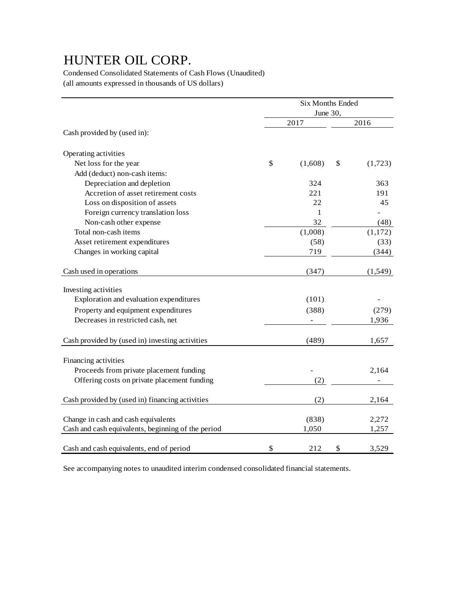Condensed Consolidated Statements of Cash Flows (Unaudited) (all amounts expressed in thousands of US dollars)

|                                                    | Six Months Ended |    |          |  |  |
|----------------------------------------------------|------------------|----|----------|--|--|
|                                                    | June 30,         |    |          |  |  |
|                                                    | 2017             |    | 2016     |  |  |
| Cash provided by (used in):                        |                  |    |          |  |  |
| Operating activities                               |                  |    |          |  |  |
| Net loss for the year                              | \$<br>(1,608)    | \$ | (1,723)  |  |  |
| Add (deduct) non-cash items:                       |                  |    |          |  |  |
| Depreciation and depletion                         | 324              |    | 363      |  |  |
| Accretion of asset retirement costs                | 221              |    | 191      |  |  |
| Loss on disposition of assets                      | 22               |    | 45       |  |  |
| Foreign currency translation loss                  | 1                |    |          |  |  |
| Non-cash other expense                             | 32               |    | (48)     |  |  |
| Total non-cash items                               | (1,008)          |    | (1,172)  |  |  |
| Asset retirement expenditures                      | (58)             |    | (33)     |  |  |
| Changes in working capital                         | 719              |    | (344)    |  |  |
| Cash used in operations                            | (347)            |    | (1, 549) |  |  |
| Investing activities                               |                  |    |          |  |  |
| Exploration and evaluation expenditures            | (101)            |    |          |  |  |
| Property and equipment expenditures                | (388)            |    | (279)    |  |  |
| Decreases in restricted cash, net                  |                  |    | 1,936    |  |  |
| Cash provided by (used in) investing activities    | (489)            |    | 1,657    |  |  |
| Financing activities                               |                  |    |          |  |  |
| Proceeds from private placement funding            |                  |    | 2,164    |  |  |
| Offering costs on private placement funding        | (2)              |    |          |  |  |
| Cash provided by (used in) financing activities    | (2)              |    | 2,164    |  |  |
|                                                    |                  |    |          |  |  |
| Change in cash and cash equivalents                | (838)            |    | 2,272    |  |  |
| Cash and cash equivalents, beginning of the period | 1,050            |    | 1,257    |  |  |
| Cash and cash equivalents, end of period           | \$<br>212        | \$ | 3,529    |  |  |

See accompanying notes to unaudited interim condensed consolidated financial statements.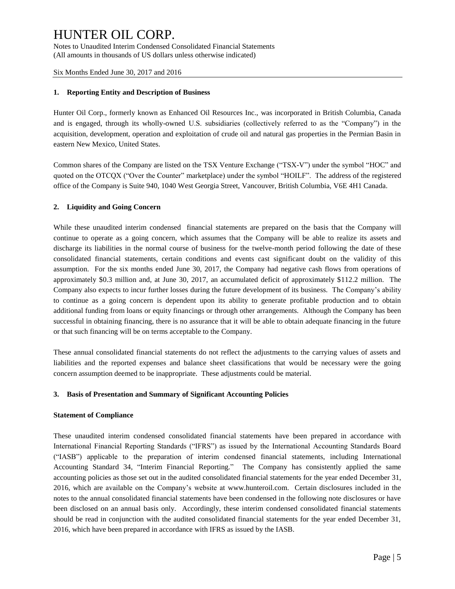Notes to Unaudited Interim Condensed Consolidated Financial Statements (All amounts in thousands of US dollars unless otherwise indicated)

Six Months Ended June 30, 2017 and 2016

#### **1. Reporting Entity and Description of Business**

Hunter Oil Corp., formerly known as Enhanced Oil Resources Inc., was incorporated in British Columbia, Canada and is engaged, through its wholly-owned U.S. subsidiaries (collectively referred to as the "Company") in the acquisition, development, operation and exploitation of crude oil and natural gas properties in the Permian Basin in eastern New Mexico, United States.

Common shares of the Company are listed on the TSX Venture Exchange ("TSX-V") under the symbol "HOC" and quoted on the OTCQX ("Over the Counter" marketplace) under the symbol "HOILF". The address of the registered office of the Company is Suite 940, 1040 West Georgia Street, Vancouver, British Columbia, V6E 4H1 Canada.

#### **2. Liquidity and Going Concern**

While these unaudited interim condensed financial statements are prepared on the basis that the Company will continue to operate as a going concern, which assumes that the Company will be able to realize its assets and discharge its liabilities in the normal course of business for the twelve-month period following the date of these consolidated financial statements, certain conditions and events cast significant doubt on the validity of this assumption. For the six months ended June 30, 2017, the Company had negative cash flows from operations of approximately \$0.3 million and, at June 30, 2017, an accumulated deficit of approximately \$112.2 million. The Company also expects to incur further losses during the future development of its business. The Company's ability to continue as a going concern is dependent upon its ability to generate profitable production and to obtain additional funding from loans or equity financings or through other arrangements. Although the Company has been successful in obtaining financing, there is no assurance that it will be able to obtain adequate financing in the future or that such financing will be on terms acceptable to the Company.

These annual consolidated financial statements do not reflect the adjustments to the carrying values of assets and liabilities and the reported expenses and balance sheet classifications that would be necessary were the going concern assumption deemed to be inappropriate. These adjustments could be material.

#### **3. Basis of Presentation and Summary of Significant Accounting Policies**

#### **Statement of Compliance**

These unaudited interim condensed consolidated financial statements have been prepared in accordance with International Financial Reporting Standards ("IFRS") as issued by the International Accounting Standards Board ("IASB") applicable to the preparation of interim condensed financial statements, including International Accounting Standard 34, "Interim Financial Reporting." The Company has consistently applied the same accounting policies as those set out in the audited consolidated financial statements for the year ended December 31, 2016, which are available on the Company's website at www.hunteroil.com. Certain disclosures included in the notes to the annual consolidated financial statements have been condensed in the following note disclosures or have been disclosed on an annual basis only. Accordingly, these interim condensed consolidated financial statements should be read in conjunction with the audited consolidated financial statements for the year ended December 31, 2016, which have been prepared in accordance with IFRS as issued by the IASB.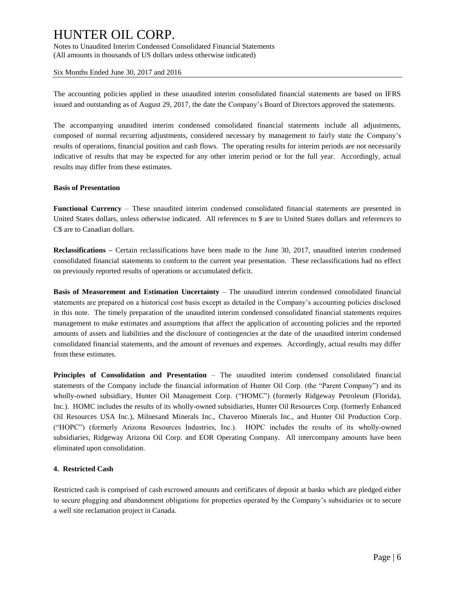Notes to Unaudited Interim Condensed Consolidated Financial Statements (All amounts in thousands of US dollars unless otherwise indicated)

Six Months Ended June 30, 2017 and 2016

The accounting policies applied in these unaudited interim consolidated financial statements are based on IFRS issued and outstanding as of August 29, 2017, the date the Company's Board of Directors approved the statements.

The accompanying unaudited interim condensed consolidated financial statements include all adjustments, composed of normal recurring adjustments, considered necessary by management to fairly state the Company's results of operations, financial position and cash flows. The operating results for interim periods are not necessarily indicative of results that may be expected for any other interim period or for the full year. Accordingly, actual results may differ from these estimates.

#### **Basis of Presentation**

**Functional Currency** – These unaudited interim condensed consolidated financial statements are presented in United States dollars, unless otherwise indicated. All references to \$ are to United States dollars and references to C\$ are to Canadian dollars.

**Reclassifications –** Certain reclassifications have been made to the June 30, 2017, unaudited interim condensed consolidated financial statements to conform to the current year presentation. These reclassifications had no effect on previously reported results of operations or accumulated deficit.

**Basis of Measurement and Estimation Uncertainty** – The unaudited interim condensed consolidated financial statements are prepared on a historical cost basis except as detailed in the Company's accounting policies disclosed in this note. The timely preparation of the unaudited interim condensed consolidated financial statements requires management to make estimates and assumptions that affect the application of accounting policies and the reported amounts of assets and liabilities and the disclosure of contingencies at the date of the unaudited interim condensed consolidated financial statements, and the amount of revenues and expenses. Accordingly, actual results may differ from these estimates.

**Principles of Consolidation and Presentation** – The unaudited interim condensed consolidated financial statements of the Company include the financial information of Hunter Oil Corp. (the "Parent Company") and its wholly-owned subsidiary, Hunter Oil Management Corp. ("HOMC") (formerly Ridgeway Petroleum (Florida), Inc.). HOMC includes the results of its wholly-owned subsidiaries, Hunter Oil Resources Corp. (formerly Enhanced Oil Resources USA Inc.), Milnesand Minerals Inc., Chaveroo Minerals Inc., and Hunter Oil Production Corp. ("HOPC") (formerly Arizona Resources Industries, Inc.). HOPC includes the results of its wholly-owned subsidiaries, Ridgeway Arizona Oil Corp. and EOR Operating Company. All intercompany amounts have been eliminated upon consolidation.

#### **4. Restricted Cash**

Restricted cash is comprised of cash escrowed amounts and certificates of deposit at banks which are pledged either to secure plugging and abandonment obligations for properties operated by the Company's subsidiaries or to secure a well site reclamation project in Canada.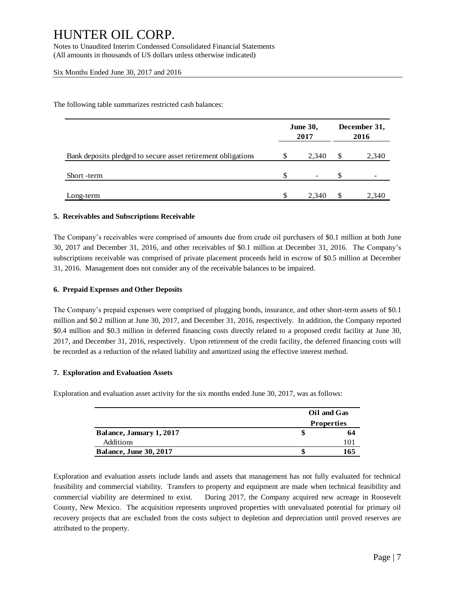Notes to Unaudited Interim Condensed Consolidated Financial Statements (All amounts in thousands of US dollars unless otherwise indicated)

#### Six Months Ended June 30, 2017 and 2016

The following table summarizes restricted cash balances:

|                                                              |    | <b>June 30,</b><br>2017 | December 31,<br>2016 |       |  |  |
|--------------------------------------------------------------|----|-------------------------|----------------------|-------|--|--|
| Bank deposits pledged to secure asset retirement obligations | S  | 2,340                   | \$.                  | 2,340 |  |  |
| Short -term                                                  | \$ | -                       | S.                   | -     |  |  |
| Long-term                                                    | S  | 2.340                   | S                    | 2,340 |  |  |

#### **5. Receivables and Subscriptions Receivable**

The Company's receivables were comprised of amounts due from crude oil purchasers of \$0.1 million at both June 30, 2017 and December 31, 2016, and other receivables of \$0.1 million at December 31, 2016. The Company's subscriptions receivable was comprised of private placement proceeds held in escrow of \$0.5 million at December 31, 2016. Management does not consider any of the receivable balances to be impaired.

#### **6. Prepaid Expenses and Other Deposits**

The Company's prepaid expenses were comprised of plugging bonds, insurance, and other short-term assets of \$0.1 million and \$0.2 million at June 30, 2017, and December 31, 2016, respectively. In addition, the Company reported \$0.4 million and \$0.3 million in deferred financing costs directly related to a proposed credit facility at June 30, 2017, and December 31, 2016, respectively. Upon retirement of the credit facility, the deferred financing costs will be recorded as a reduction of the related liability and amortized using the effective interest method.

#### **7. Exploration and Evaluation Assets**

Exploration and evaluation asset activity for the six months ended June 30, 2017, was as follows:

|                               | Oil and Gas       |
|-------------------------------|-------------------|
|                               | <b>Properties</b> |
| Balance, January 1, 2017      | 64                |
| Additions                     | 101               |
| <b>Balance, June 30, 2017</b> | 165               |

Exploration and evaluation assets include lands and assets that management has not fully evaluated for technical feasibility and commercial viability. Transfers to property and equipment are made when technical feasibility and commercial viability are determined to exist. During 2017, the Company acquired new acreage in Roosevelt County, New Mexico. The acquisition represents unproved properties with unevaluated potential for primary oil recovery projects that are excluded from the costs subject to depletion and depreciation until proved reserves are attributed to the property.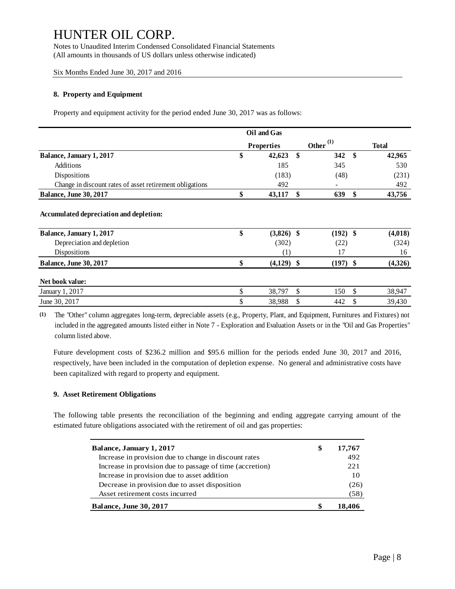Notes to Unaudited Interim Condensed Consolidated Financial Statements (All amounts in thousands of US dollars unless otherwise indicated)

Six Months Ended June 30, 2017 and 2016

#### **8. Property and Equipment**

Property and equipment activity for the period ended June 30, 2017 was as follows:

|                                                          | Oil and Gas        |     |             |               |  |
|----------------------------------------------------------|--------------------|-----|-------------|---------------|--|
|                                                          | <b>Properties</b>  |     | Other $(1)$ | <b>Total</b>  |  |
| Balance, January 1, 2017                                 | \$<br>42,623       | -\$ | 342         | \$<br>42,965  |  |
| Additions                                                | 185                |     | 345         | 530           |  |
| Dispositions                                             | (183)              |     | (48)        | (231)         |  |
| Change in discount rates of asset retirement obligations | 492                |     |             | 492           |  |
| <b>Balance, June 30, 2017</b>                            | \$<br>43,117       | \$  | 639         | \$<br>43,756  |  |
| Balance, January 1, 2017                                 | \$<br>$(3,826)$ \$ |     | (192)       | \$<br>(4,018) |  |
| Accumulated depreciation and depletion:                  |                    |     |             |               |  |
| Depreciation and depletion                               | (302)              |     | (22)        | (324)         |  |
| Dispositions                                             | (1)                |     | 17          | 16            |  |
| <b>Balance, June 30, 2017</b>                            | \$<br>$(4,129)$ \$ |     | $(197)$ \$  | (4,326)       |  |
| Net book value:                                          |                    |     |             |               |  |
| January 1, 2017                                          | \$<br>38,797       | \$  | 150         | \$<br>38,947  |  |
| June 30, 2017                                            | \$<br>38,988       | \$  | 442         | \$<br>39,430  |  |

**(1)** The "Other" column aggregates long-term, depreciable assets (e.g., Property, Plant, and Equipment, Furnitures and Fixtures) not included in the aggregates long-term, depreciable assets (e.g., Property, Plant, and Equipment, Furnitures and Fixtures) not included in the aggregated amounts listed either in Note 7 - Exploration and Evaluation Assets or column listed above.

Future development costs of \$236.2 million and \$95.6 million for the periods ended June 30, 2017 and 2016, respectively, have been included in the computation of depletion expense. No general and administrative costs have been capitalized with regard to property and equipment.

#### **9. Asset Retirement Obligations**

The following table presents the reconciliation of the beginning and ending aggregate carrying amount of the estimated future obligations associated with the retirement of oil and gas properties:

| Balance, January 1, 2017                                 | S | 17,767 |
|----------------------------------------------------------|---|--------|
| Increase in provision due to change in discount rates    |   | 492    |
| Increase in provision due to passage of time (accretion) |   | 221    |
| Increase in provision due to asset addition              |   | 10     |
| Decrease in provision due to asset disposition           |   | (26)   |
| Asset retirement costs incurred                          |   | (58)   |
| <b>Balance, June 30, 2017</b>                            |   | 18.406 |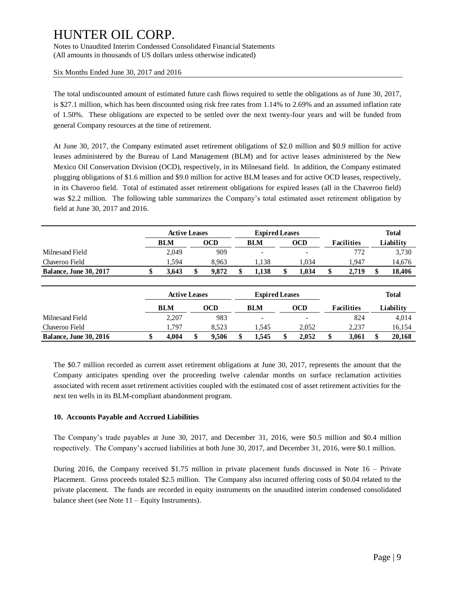Notes to Unaudited Interim Condensed Consolidated Financial Statements (All amounts in thousands of US dollars unless otherwise indicated)

Six Months Ended June 30, 2017 and 2016

The total undiscounted amount of estimated future cash flows required to settle the obligations as of June 30, 2017, is \$27.1 million, which has been discounted using risk free rates from 1.14% to 2.69% and an assumed inflation rate of 1.50%. These obligations are expected to be settled over the next twenty-four years and will be funded from general Company resources at the time of retirement.

At June 30, 2017, the Company estimated asset retirement obligations of \$2.0 million and \$0.9 million for active leases administered by the Bureau of Land Management (BLM) and for active leases administered by the New Mexico Oil Conservation Division (OCD), respectively, in its Milnesand field. In addition, the Company estimated plugging obligations of \$1.6 million and \$9.0 million for active BLM leases and for active OCD leases, respectively, in its Chaveroo field. Total of estimated asset retirement obligations for expired leases (all in the Chaveroo field) was \$2.2 million. The following table summarizes the Company's total estimated asset retirement obligation by field at June 30, 2017 and 2016.

|                               | <b>Active Leases</b> |       | <b>Expired Leases</b>    |  |       | <b>Total</b> |           |
|-------------------------------|----------------------|-------|--------------------------|--|-------|--------------|-----------|
|                               | <b>BLM</b>           | OCD   | BLM                      |  | OCD   | Facilities   | Liabilitv |
| Milnesand Field               | 2,049                | 909   | $\overline{\phantom{0}}$ |  | -     | 772          | 3,730     |
| Chaveroo Field                | . 594                | 8.963 | . 138                    |  | 1.034 | 1.947        | 14.676    |
| <b>Balance, June 30, 2017</b> | 3.643                | 9.872 | 1.138                    |  | 1.034 | 2.719        | 18.406    |

|                               | <b>Active Leases</b> |            |  |            | <b>Expired Leases</b> |  |       |                   | <b>Total</b> |
|-------------------------------|----------------------|------------|--|------------|-----------------------|--|-------|-------------------|--------------|
|                               |                      | <b>BLM</b> |  | <b>OCD</b> | <b>BLM</b>            |  | OCD   | <b>Facilities</b> | Liabilitv    |
| Milnesand Field               |                      | 2,207      |  | 983        | -                     |  |       | 824               | 4,014        |
| Chaveroo Field                |                      | .797       |  | 8.523      | 1.545                 |  | 2.052 | 2.237             | 16,154       |
| <b>Balance, June 30, 2016</b> |                      | 4.004      |  | 9.506      | 1.545                 |  | 2.052 | 3.061             | 20,168       |

The \$0.7 million recorded as current asset retirement obligations at June 30, 2017, represents the amount that the Company anticipates spending over the proceeding twelve calendar months on surface reclamation activities associated with recent asset retirement activities coupled with the estimated cost of asset retirement activities for the next ten wells in its BLM-compliant abandonment program.

#### **10. Accounts Payable and Accrued Liabilities**

The Company's trade payables at June 30, 2017, and December 31, 2016, were \$0.5 million and \$0.4 million respectively. The Company's accrued liabilities at both June 30, 2017, and December 31, 2016, were \$0.1 million.

During 2016, the Company received \$1.75 million in private placement funds discussed in Note 16 – Private Placement. Gross proceeds totaled \$2.5 million. The Company also incurred offering costs of \$0.04 related to the private placement. The funds are recorded in equity instruments on the unaudited interim condensed consolidated balance sheet (see Note  $11 -$  Equity Instruments).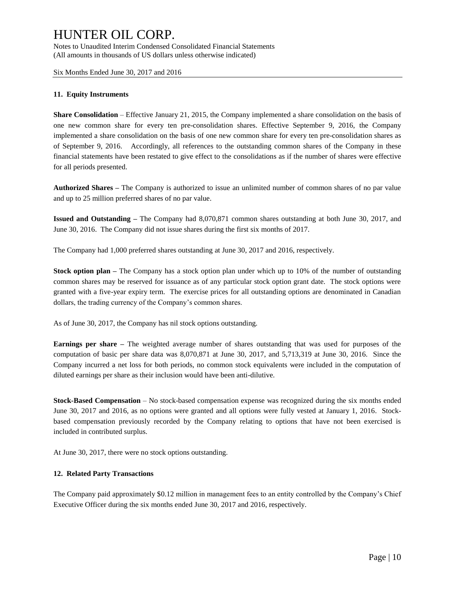Notes to Unaudited Interim Condensed Consolidated Financial Statements (All amounts in thousands of US dollars unless otherwise indicated)

Six Months Ended June 30, 2017 and 2016

#### **11. Equity Instruments**

**Share Consolidation** – Effective January 21, 2015, the Company implemented a share consolidation on the basis of one new common share for every ten pre-consolidation shares. Effective September 9, 2016, the Company implemented a share consolidation on the basis of one new common share for every ten pre-consolidation shares as of September 9, 2016. Accordingly, all references to the outstanding common shares of the Company in these financial statements have been restated to give effect to the consolidations as if the number of shares were effective for all periods presented.

**Authorized Shares –** The Company is authorized to issue an unlimited number of common shares of no par value and up to 25 million preferred shares of no par value.

**Issued and Outstanding –** The Company had 8,070,871 common shares outstanding at both June 30, 2017, and June 30, 2016. The Company did not issue shares during the first six months of 2017.

The Company had 1,000 preferred shares outstanding at June 30, 2017 and 2016, respectively.

**Stock option plan –** The Company has a stock option plan under which up to 10% of the number of outstanding common shares may be reserved for issuance as of any particular stock option grant date. The stock options were granted with a five-year expiry term. The exercise prices for all outstanding options are denominated in Canadian dollars, the trading currency of the Company's common shares.

As of June 30, 2017, the Company has nil stock options outstanding.

**Earnings per share –** The weighted average number of shares outstanding that was used for purposes of the computation of basic per share data was 8,070,871 at June 30, 2017, and 5,713,319 at June 30, 2016. Since the Company incurred a net loss for both periods, no common stock equivalents were included in the computation of diluted earnings per share as their inclusion would have been anti-dilutive.

**Stock-Based Compensation** – No stock-based compensation expense was recognized during the six months ended June 30, 2017 and 2016, as no options were granted and all options were fully vested at January 1, 2016. Stockbased compensation previously recorded by the Company relating to options that have not been exercised is included in contributed surplus.

At June 30, 2017, there were no stock options outstanding.

#### **12. Related Party Transactions**

The Company paid approximately \$0.12 million in management fees to an entity controlled by the Company's Chief Executive Officer during the six months ended June 30, 2017 and 2016, respectively.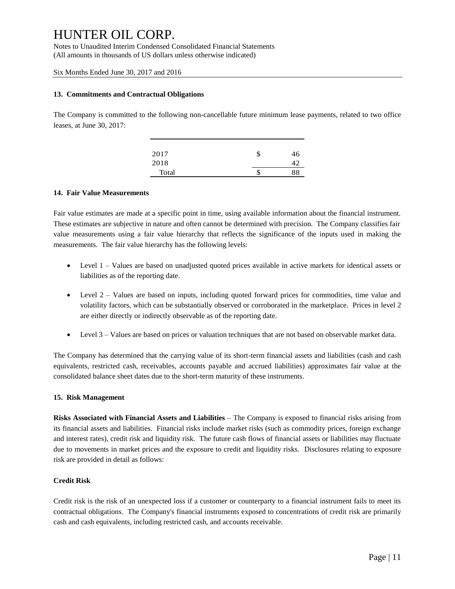Notes to Unaudited Interim Condensed Consolidated Financial Statements (All amounts in thousands of US dollars unless otherwise indicated)

Six Months Ended June 30, 2017 and 2016

#### **13. Commitments and Contractual Obligations**

The Company is committed to the following non-cancellable future minimum lease payments, related to two office leases, at June 30, 2017:

| 2017  | \$<br>46 |
|-------|----------|
| 2018  |          |
| Total | \$<br>88 |

#### **14. Fair Value Measurements**

Fair value estimates are made at a specific point in time, using available information about the financial instrument. These estimates are subjective in nature and often cannot be determined with precision. The Company classifies fair value measurements using a fair value hierarchy that reflects the significance of the inputs used in making the measurements. The fair value hierarchy has the following levels:

- Level 1 Values are based on unadjusted quoted prices available in active markets for identical assets or liabilities as of the reporting date.
- Level 2 Values are based on inputs, including quoted forward prices for commodities, time value and volatility factors, which can be substantially observed or corroborated in the marketplace. Prices in level 2 are either directly or indirectly observable as of the reporting date.
- Level 3 Values are based on prices or valuation techniques that are not based on observable market data.

The Company has determined that the carrying value of its short-term financial assets and liabilities (cash and cash equivalents, restricted cash, receivables, accounts payable and accrued liabilities) approximates fair value at the consolidated balance sheet dates due to the short-term maturity of these instruments.

#### **15. Risk Management**

**Risks Associated with Financial Assets and Liabilities** – The Company is exposed to financial risks arising from its financial assets and liabilities. Financial risks include market risks (such as commodity prices, foreign exchange and interest rates), credit risk and liquidity risk. The future cash flows of financial assets or liabilities may fluctuate due to movements in market prices and the exposure to credit and liquidity risks. Disclosures relating to exposure risk are provided in detail as follows:

#### **Credit Risk**

Credit risk is the risk of an unexpected loss if a customer or counterparty to a financial instrument fails to meet its contractual obligations. The Company's financial instruments exposed to concentrations of credit risk are primarily cash and cash equivalents, including restricted cash, and accounts receivable.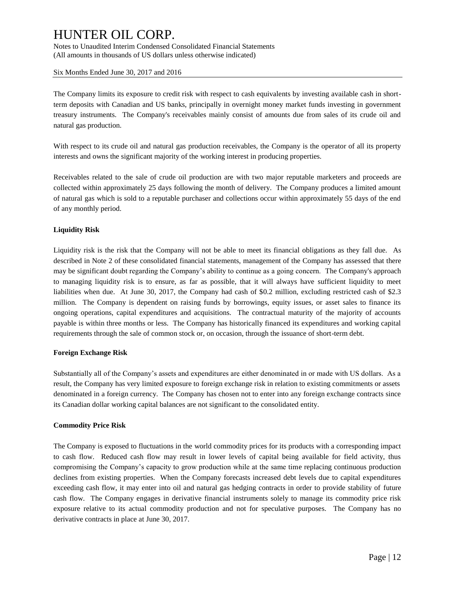Notes to Unaudited Interim Condensed Consolidated Financial Statements (All amounts in thousands of US dollars unless otherwise indicated)

Six Months Ended June 30, 2017 and 2016

The Company limits its exposure to credit risk with respect to cash equivalents by investing available cash in shortterm deposits with Canadian and US banks, principally in overnight money market funds investing in government treasury instruments. The Company's receivables mainly consist of amounts due from sales of its crude oil and natural gas production.

With respect to its crude oil and natural gas production receivables, the Company is the operator of all its property interests and owns the significant majority of the working interest in producing properties.

Receivables related to the sale of crude oil production are with two major reputable marketers and proceeds are collected within approximately 25 days following the month of delivery. The Company produces a limited amount of natural gas which is sold to a reputable purchaser and collections occur within approximately 55 days of the end of any monthly period.

#### **Liquidity Risk**

Liquidity risk is the risk that the Company will not be able to meet its financial obligations as they fall due. As described in Note 2 of these consolidated financial statements, management of the Company has assessed that there may be significant doubt regarding the Company's ability to continue as a going concern. The Company's approach to managing liquidity risk is to ensure, as far as possible, that it will always have sufficient liquidity to meet liabilities when due. At June 30, 2017, the Company had cash of \$0.2 million, excluding restricted cash of \$2.3 million. The Company is dependent on raising funds by borrowings, equity issues, or asset sales to finance its ongoing operations, capital expenditures and acquisitions. The contractual maturity of the majority of accounts payable is within three months or less. The Company has historically financed its expenditures and working capital requirements through the sale of common stock or, on occasion, through the issuance of short-term debt.

#### **Foreign Exchange Risk**

Substantially all of the Company's assets and expenditures are either denominated in or made with US dollars. As a result, the Company has very limited exposure to foreign exchange risk in relation to existing commitments or assets denominated in a foreign currency. The Company has chosen not to enter into any foreign exchange contracts since its Canadian dollar working capital balances are not significant to the consolidated entity.

#### **Commodity Price Risk**

The Company is exposed to fluctuations in the world commodity prices for its products with a corresponding impact to cash flow. Reduced cash flow may result in lower levels of capital being available for field activity, thus compromising the Company's capacity to grow production while at the same time replacing continuous production declines from existing properties. When the Company forecasts increased debt levels due to capital expenditures exceeding cash flow, it may enter into oil and natural gas hedging contracts in order to provide stability of future cash flow. The Company engages in derivative financial instruments solely to manage its commodity price risk exposure relative to its actual commodity production and not for speculative purposes. The Company has no derivative contracts in place at June 30, 2017.